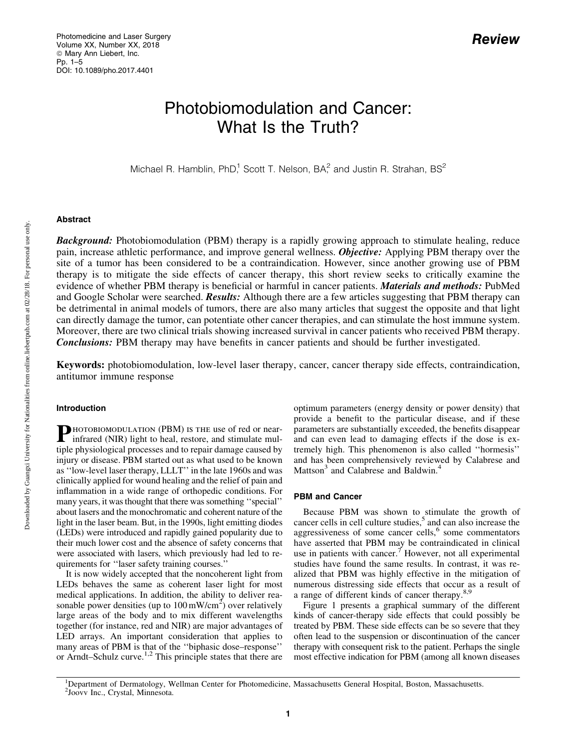# Photobiomodulation and Cancer: What Is the Truth?

Michael R. Hamblin, PhD,<sup>1</sup> Scott T. Nelson, BA<sub>,2</sub> and Justin R. Strahan, BS<sup>2</sup>

## Abstract

**Background:** Photobiomodulation (PBM) therapy is a rapidly growing approach to stimulate healing, reduce pain, increase athletic performance, and improve general wellness. **Objective:** Applying PBM therapy over the site of a tumor has been considered to be a contraindication. However, since another growing use of PBM therapy is to mitigate the side effects of cancer therapy, this short review seeks to critically examine the evidence of whether PBM therapy is beneficial or harmful in cancer patients. Materials and methods: PubMed and Google Scholar were searched. **Results:** Although there are a few articles suggesting that PBM therapy can be detrimental in animal models of tumors, there are also many articles that suggest the opposite and that light can directly damage the tumor, can potentiate other cancer therapies, and can stimulate the host immune system. Moreover, there are two clinical trials showing increased survival in cancer patients who received PBM therapy. Conclusions: PBM therapy may have benefits in cancer patients and should be further investigated.

Keywords: photobiomodulation, low-level laser therapy, cancer, cancer therapy side effects, contraindication, antitumor immune response

## Introduction

**PHOTOBIOMODULATION (PBM) IS THE use of red or near-**<br>infrared (NIR) light to heal, restore, and stimulate multiple physiological processes and to repair damage caused by injury or disease. PBM started out as what used to be known as ''low-level laser therapy, LLLT'' in the late 1960s and was clinically applied for wound healing and the relief of pain and inflammation in a wide range of orthopedic conditions. For many years, it was thought that there was something ''special'' about lasers and the monochromatic and coherent nature of the light in the laser beam. But, in the 1990s, light emitting diodes (LEDs) were introduced and rapidly gained popularity due to their much lower cost and the absence of safety concerns that were associated with lasers, which previously had led to requirements for ''laser safety training courses.''

It is now widely accepted that the noncoherent light from LEDs behaves the same as coherent laser light for most medical applications. In addition, the ability to deliver reasonable power densities (up to  $100 \text{ mW/cm}^2$ ) over relatively large areas of the body and to mix different wavelengths together (for instance, red and NIR) are major advantages of LED arrays. An important consideration that applies to many areas of PBM is that of the ''biphasic dose–response'' or Arndt–Schulz curve.<sup>1,2</sup> This principle states that there are optimum parameters (energy density or power density) that provide a benefit to the particular disease, and if these parameters are substantially exceeded, the benefits disappear and can even lead to damaging effects if the dose is extremely high. This phenomenon is also called ''hormesis'' and has been comprehensively reviewed by Calabrese and Mattson<sup>3</sup> and Calabrese and Baldwin.<sup>4</sup>

## PBM and Cancer

Because PBM was shown to stimulate the growth of cancer cells in cell culture studies,<sup>5</sup> and can also increase the aggressiveness of some cancer cells, $<sup>6</sup>$  some commentators</sup> have asserted that PBM may be contraindicated in clinical use in patients with cancer.<sup> $\tau$ </sup> However, not all experimental studies have found the same results. In contrast, it was realized that PBM was highly effective in the mitigation of numerous distressing side effects that occur as a result of a range of different kinds of cancer therapy.8,9

Figure 1 presents a graphical summary of the different kinds of cancer-therapy side effects that could possibly be treated by PBM. These side effects can be so severe that they often lead to the suspension or discontinuation of the cancer therapy with consequent risk to the patient. Perhaps the single most effective indication for PBM (among all known diseases

Downloaded by Guangxi University for Nationalities from online.liebertpub.com at 02/28/18. For personal use only. Downloaded by Guangxi University for Nationalities from online.liebertpub.com at 02/28/18. For personal use only.

<sup>&</sup>lt;sup>1</sup>Department of Dermatology, Wellman Center for Photomedicine, Massachusetts General Hospital, Boston, Massachusetts. 2 Joovv Inc., Crystal, Minnesota.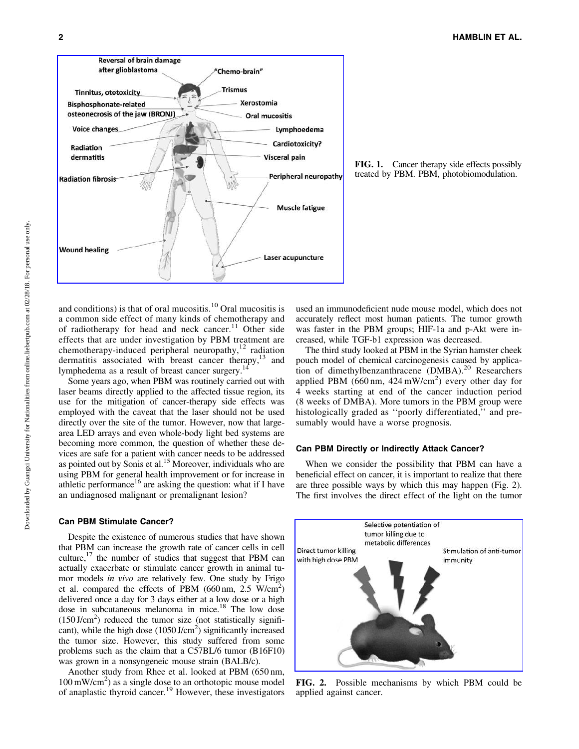



and conditions) is that of oral mucositis. $10$  Oral mucositis is a common side effect of many kinds of chemotherapy and of radiotherapy for head and neck cancer.<sup>11</sup> Other side effects that are under investigation by PBM treatment are chemotherapy-induced peripheral neuropathy, $12$  radiation dermatitis associated with breast cancer therapy, $13$  and lymphedema as a result of breast cancer surgery.<sup>1</sup>

Some years ago, when PBM was routinely carried out with laser beams directly applied to the affected tissue region, its use for the mitigation of cancer-therapy side effects was employed with the caveat that the laser should not be used directly over the site of the tumor. However, now that largearea LED arrays and even whole-body light bed systems are becoming more common, the question of whether these devices are safe for a patient with cancer needs to be addressed as pointed out by Sonis et al.<sup>15</sup> Moreover, individuals who are using PBM for general health improvement or for increase in athletic performance<sup>16</sup> are asking the question: what if I have an undiagnosed malignant or premalignant lesion?

## Can PBM Stimulate Cancer?

Despite the existence of numerous studies that have shown that PBM can increase the growth rate of cancer cells in cell culture, $17$  the number of studies that suggest that PBM can actually exacerbate or stimulate cancer growth in animal tumor models *in vivo* are relatively few. One study by Frigo et al. compared the effects of PBM  $(660 \text{ nm}, 2.5 \text{ W/cm}^2)$ delivered once a day for 3 days either at a low dose or a high dose in subcutaneous melanoma in mice.18 The low dose  $(150 \text{ J/cm}^2)$  reduced the tumor size (not statistically significant), while the high dose  $(1050 \text{ J/cm}^2)$  significantly increased the tumor size. However, this study suffered from some problems such as the claim that a C57BL/6 tumor (B16F10) was grown in a nonsyngeneic mouse strain (BALB/c).

Another study from Rhee et al. looked at PBM (650 nm, 100 mW/cm2 ) as a single dose to an orthotopic mouse model of anaplastic thyroid cancer.<sup>19</sup> However, these investigators used an immunodeficient nude mouse model, which does not accurately reflect most human patients. The tumor growth was faster in the PBM groups; HIF-1a and p-Akt were increased, while TGF-b1 expression was decreased.

The third study looked at PBM in the Syrian hamster cheek pouch model of chemical carcinogenesis caused by application of dimethylbenzanthracene (DMBA).<sup>20</sup> Researchers applied PBM  $(660 \text{ nm}, 424 \text{ mW/cm}^2)$  every other day for 4 weeks starting at end of the cancer induction period (8 weeks of DMBA). More tumors in the PBM group were histologically graded as ''poorly differentiated,'' and presumably would have a worse prognosis.

### Can PBM Directly or Indirectly Attack Cancer?

When we consider the possibility that PBM can have a beneficial effect on cancer, it is important to realize that there are three possible ways by which this may happen (Fig. 2). The first involves the direct effect of the light on the tumor



FIG. 2. Possible mechanisms by which PBM could be applied against cancer.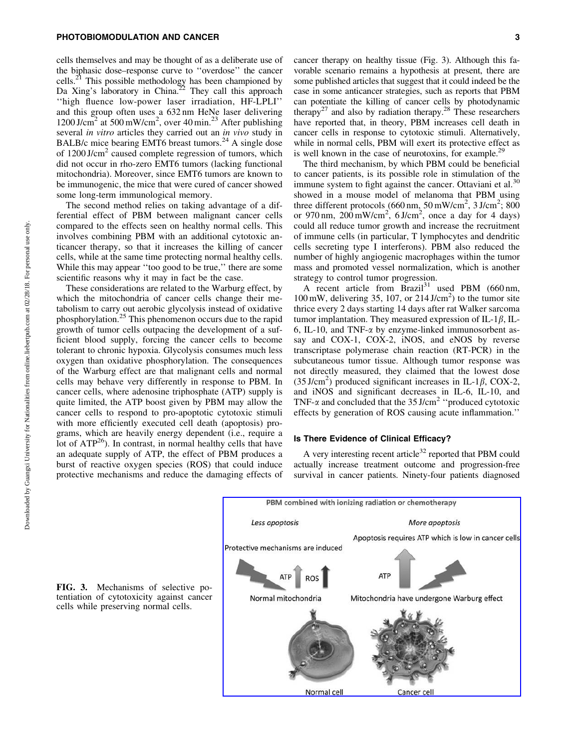cells themselves and may be thought of as a deliberate use of the biphasic dose–response curve to ''overdose'' the cancer cells.<sup>21</sup> This possible methodology has been championed by Da Xing's laboratory in China.<sup>22</sup> They call this approach ''high fluence low-power laser irradiation, HF-LPLI'' and this group often uses a 632 nm HeNe laser delivering 1200 J/cm<sup>2</sup> at 500 mW/cm<sup>2</sup>, over 40 min.<sup>23</sup> After publishing several *in vitro* articles they carried out an *in vivo* study in BALB/c mice bearing EMT6 breast tumors.<sup>24</sup> A single dose of 1200 J/cm<sup>2</sup> caused complete regression of tumors, which did not occur in rho-zero EMT6 tumors (lacking functional mitochondria). Moreover, since EMT6 tumors are known to be immunogenic, the mice that were cured of cancer showed some long-term immunological memory.

The second method relies on taking advantage of a differential effect of PBM between malignant cancer cells compared to the effects seen on healthy normal cells. This involves combining PBM with an additional cytotoxic anticancer therapy, so that it increases the killing of cancer cells, while at the same time protecting normal healthy cells. While this may appear "too good to be true," there are some scientific reasons why it may in fact be the case.

These considerations are related to the Warburg effect, by which the mitochondria of cancer cells change their metabolism to carry out aerobic glycolysis instead of oxidative phosphorylation.<sup>25</sup> This phenomenon occurs due to the rapid growth of tumor cells outpacing the development of a sufficient blood supply, forcing the cancer cells to become tolerant to chronic hypoxia. Glycolysis consumes much less oxygen than oxidative phosphorylation. The consequences of the Warburg effect are that malignant cells and normal cells may behave very differently in response to PBM. In cancer cells, where adenosine triphosphate (ATP) supply is quite limited, the ATP boost given by PBM may allow the cancer cells to respond to pro-apoptotic cytotoxic stimuli with more efficiently executed cell death (apoptosis) programs, which are heavily energy dependent (i.e., require a lot of ATP<sup>26</sup>). In contrast, in normal healthy cells that have an adequate supply of ATP, the effect of PBM produces a burst of reactive oxygen species (ROS) that could induce protective mechanisms and reduce the damaging effects of cancer therapy on healthy tissue (Fig. 3). Although this favorable scenario remains a hypothesis at present, there are some published articles that suggest that it could indeed be the case in some anticancer strategies, such as reports that PBM can potentiate the killing of cancer cells by photodynamic therapy<sup>27</sup> and also by radiation therapy.<sup>28</sup> These researchers have reported that, in theory, PBM increases cell death in cancer cells in response to cytotoxic stimuli. Alternatively, while in normal cells, PBM will exert its protective effect as is well known in the case of neurotoxins, for example.<sup>29</sup>

The third mechanism, by which PBM could be beneficial to cancer patients, is its possible role in stimulation of the immune system to fight against the cancer. Ottaviani et al. $30$ showed in a mouse model of melanoma that PBM using three different protocols (660 nm, 50 mW/cm<sup>2</sup>, 3 J/cm<sup>2</sup>; 800 or 970 nm,  $200 \text{ mW/cm}^2$ , 6 J/cm<sup>2</sup>, once a day for 4 days) could all reduce tumor growth and increase the recruitment of immune cells (in particular, T lymphocytes and dendritic cells secreting type I interferons). PBM also reduced the number of highly angiogenic macrophages within the tumor mass and promoted vessel normalization, which is another strategy to control tumor progression.

A recent article from Brazil<sup>31</sup> used PBM (660 nm,  $100 \text{ mW}$ , delivering 35, 107, or 214 J/cm<sup>2</sup>) to the tumor site thrice every 2 days starting 14 days after rat Walker sarcoma tumor implantation. They measured expression of IL-1 $\beta$ , IL-6, IL-10, and TNF- $\alpha$  by enzyme-linked immunosorbent assay and COX-1, COX-2, iNOS, and eNOS by reverse transcriptase polymerase chain reaction (RT-PCR) in the subcutaneous tumor tissue. Although tumor response was not directly measured, they claimed that the lowest dose (35 J/cm<sup>2</sup>) produced significant increases in IL-1 $\beta$ , COX-2, and iNOS and significant decreases in IL-6, IL-10, and TNF- $\alpha$  and concluded that the 35 J/cm<sup>2</sup> "produced cytotoxic effects by generation of ROS causing acute inflammation.''

## Is There Evidence of Clinical Efficacy?

A very interesting recent article<sup>32</sup> reported that PBM could actually increase treatment outcome and progression-free survival in cancer patients. Ninety-four patients diagnosed



FIG. 3. Mechanisms of selective potentiation of cytotoxicity against cancer cells while preserving normal cells.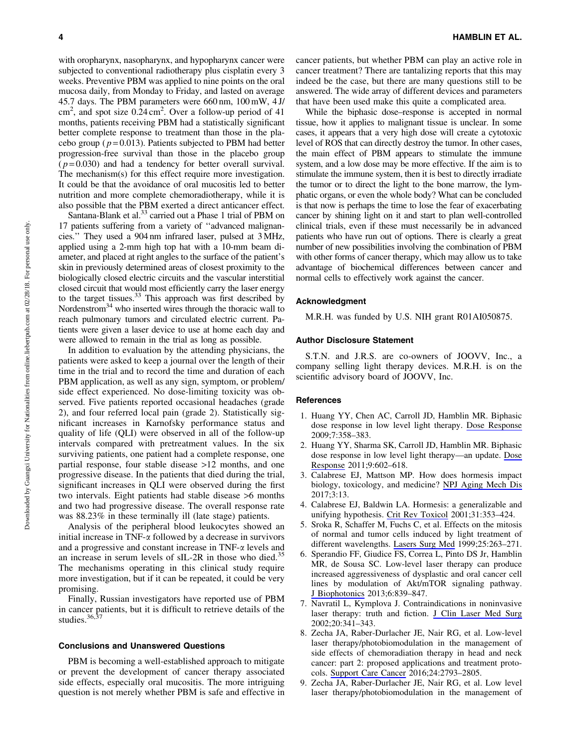with oropharynx, nasopharynx, and hypopharynx cancer were subjected to conventional radiotherapy plus cisplatin every 3 weeks. Preventive PBM was applied to nine points on the oral mucosa daily, from Monday to Friday, and lasted on average 45.7 days. The PBM parameters were 660 nm, 100 mW, 4 J/ cm<sup>2</sup>, and spot size 0.24 cm<sup>2</sup>. Over a follow-up period of 41 months, patients receiving PBM had a statistically significant better complete response to treatment than those in the placebo group ( $p = 0.013$ ). Patients subjected to PBM had better progression-free survival than those in the placebo group  $(p=0.030)$  and had a tendency for better overall survival. The mechanism(s) for this effect require more investigation. It could be that the avoidance of oral mucositis led to better nutrition and more complete chemoradiotherapy, while it is also possible that the PBM exerted a direct anticancer effect.

Santana-Blank et al.<sup>33</sup> carried out a Phase 1 trial of PBM on 17 patients suffering from a variety of ''advanced malignancies.'' They used a 904 nm infrared laser, pulsed at 3MHz, applied using a 2-mm high top hat with a 10-mm beam diameter, and placed at right angles to the surface of the patient's skin in previously determined areas of closest proximity to the biologically closed electric circuits and the vascular interstitial closed circuit that would most efficiently carry the laser energy to the target tissues.<sup>33</sup> This approach was first described by Nordenstrom<sup>34</sup> who inserted wires through the thoracic wall to reach pulmonary tumors and circulated electric current. Patients were given a laser device to use at home each day and were allowed to remain in the trial as long as possible.

In addition to evaluation by the attending physicians, the patients were asked to keep a journal over the length of their time in the trial and to record the time and duration of each PBM application, as well as any sign, symptom, or problem/ side effect experienced. No dose-limiting toxicity was observed. Five patients reported occasional headaches (grade 2), and four referred local pain (grade 2). Statistically significant increases in Karnofsky performance status and quality of life (QLI) were observed in all of the follow-up intervals compared with pretreatment values. In the six surviving patients, one patient had a complete response, one partial response, four stable disease >12 months, and one progressive disease. In the patients that died during the trial, significant increases in QLI were observed during the first two intervals. Eight patients had stable disease >6 months and two had progressive disease. The overall response rate was 88.23% in these terminally ill (late stage) patients.

Analysis of the peripheral blood leukocytes showed an initial increase in TNF- $\alpha$  followed by a decrease in survivors and a progressive and constant increase in  $TNF-\alpha$  levels and an increase in serum levels of  $sIL-2R$  in those who died.<sup>35</sup> The mechanisms operating in this clinical study require more investigation, but if it can be repeated, it could be very promising.

Finally, Russian investigators have reported use of PBM in cancer patients, but it is difficult to retrieve details of the studies. $36$ 

#### Conclusions and Unanswered Questions

PBM is becoming a well-established approach to mitigate or prevent the development of cancer therapy associated side effects, especially oral mucositis. The more intriguing question is not merely whether PBM is safe and effective in cancer patients, but whether PBM can play an active role in cancer treatment? There are tantalizing reports that this may indeed be the case, but there are many questions still to be answered. The wide array of different devices and parameters that have been used make this quite a complicated area.

While the biphasic dose–response is accepted in normal tissue, how it applies to malignant tissue is unclear. In some cases, it appears that a very high dose will create a cytotoxic level of ROS that can directly destroy the tumor. In other cases, the main effect of PBM appears to stimulate the immune system, and a low dose may be more effective. If the aim is to stimulate the immune system, then it is best to directly irradiate the tumor or to direct the light to the bone marrow, the lymphatic organs, or even the whole body? What can be concluded is that now is perhaps the time to lose the fear of exacerbating cancer by shining light on it and start to plan well-controlled clinical trials, even if these must necessarily be in advanced patients who have run out of options. There is clearly a great number of new possibilities involving the combination of PBM with other forms of cancer therapy, which may allow us to take advantage of biochemical differences between cancer and normal cells to effectively work against the cancer.

#### Acknowledgment

M.R.H. was funded by U.S. NIH grant R01AI050875.

#### Author Disclosure Statement

S.T.N. and J.R.S. are co-owners of JOOVV, Inc., a company selling light therapy devices. M.R.H. is on the scientific advisory board of JOOVV, Inc.

### References

- 1. Huang YY, Chen AC, Carroll JD, Hamblin MR. Biphasic dose response in low level light therapy. [Dose Response](http://online.liebertpub.com/action/showLinks?doi=10.1089%2Fpho.2017.4401&pmid=20011653&crossref=10.2203%2Fdose-response.09-027.Hamblin&citationId=p_17) 2009;7:358–383.
- 2. Huang YY, Sharma SK, Carroll JD, Hamblin MR. Biphasic dose response in low level light therapy—an update. [Dose](http://online.liebertpub.com/action/showLinks?doi=10.1089%2Fpho.2017.4401&pmid=22461763&crossref=10.2203%2Fdose-response.11-009.Hamblin&citationId=p_18) [Response](http://online.liebertpub.com/action/showLinks?doi=10.1089%2Fpho.2017.4401&pmid=22461763&crossref=10.2203%2Fdose-response.11-009.Hamblin&citationId=p_18) 2011;9:602–618.
- 3. Calabrese EJ, Mattson MP. How does hormesis impact biology, toxicology, and medicine? [NPJ Aging Mech Dis](http://online.liebertpub.com/action/showLinks?doi=10.1089%2Fpho.2017.4401&pmid=28944077&crossref=10.1038%2Fs41514-017-0013-z&citationId=p_19) 2017;3:13.
- 4. Calabrese EJ, Baldwin LA. Hormesis: a generalizable and unifying hypothesis. [Crit Rev Toxicol](http://online.liebertpub.com/action/showLinks?doi=10.1089%2Fpho.2017.4401&pmid=11504172&crossref=10.1080%2F20014091111730&citationId=p_20) 2001;31:353–424.
- 5. Sroka R, Schaffer M, Fuchs C, et al. Effects on the mitosis of normal and tumor cells induced by light treatment of different wavelengths. [Lasers Surg Med](http://online.liebertpub.com/action/showLinks?doi=10.1089%2Fpho.2017.4401&pmid=10495304&crossref=10.1002%2F%28SICI%291096-9101%281999%2925%3A3%3C263%3A%3AAID-LSM11%3E3.0.CO%3B2-T&citationId=p_21) 1999;25:263–271.
- 6. Sperandio FF, Giudice FS, Correa L, Pinto DS Jr, Hamblin MR, de Sousa SC. Low-level laser therapy can produce increased aggressiveness of dysplastic and oral cancer cell lines by modulation of Akt/mTOR signaling pathway. [J Biophotonics](http://online.liebertpub.com/action/showLinks?doi=10.1089%2Fpho.2017.4401&pmid=23554211&citationId=p_22) 2013;6:839–847.
- 7. Navratil L, Kymplova J. Contraindications in noninvasive laser therapy: truth and fiction. [J Clin Laser Med Surg](http://online.liebertpub.com/action/showLinks?doi=10.1089%2Fpho.2017.4401&system=10.1089%2F104454702320901134&citationId=p_23) 2002;20:341–343.
- 8. Zecha JA, Raber-Durlacher JE, Nair RG, et al. Low-level laser therapy/photobiomodulation in the management of side effects of chemoradiation therapy in head and neck cancer: part 2: proposed applications and treatment protocols. [Support Care Cancer](http://online.liebertpub.com/action/showLinks?doi=10.1089%2Fpho.2017.4401&pmid=26984249&crossref=10.1007%2Fs00520-016-3153-y&citationId=p_24) 2016;24:2793–2805.
- 9. Zecha JA, Raber-Durlacher JE, Nair RG, et al. Low level laser therapy/photobiomodulation in the management of